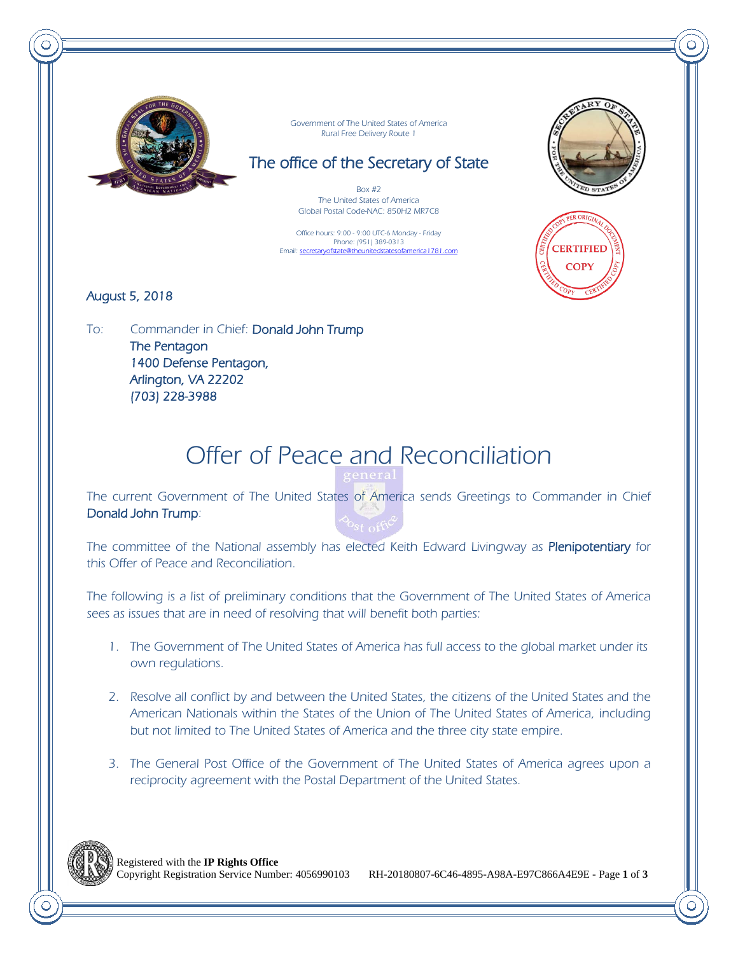

Government of The United States of America Rural Free Delivery Route 1

## The office of the Secretary of State

 $Box #2$ The United States of America Global Postal Code-NAC: 850H2 MR7C8

Office hours: 9:00 - 9:00 UTC-6 Monday - Friday Phone: (951) 389-0313 Email: secretaryofstate@theunitedstatesofamerica1781.com





#### August 5, 2018

To: Commander in Chief: Donald John Trump The Pentagon 1400 Defense Pentagon, Arlington, VA 22202 (703) 228-3988

# Offer of Peace and Reconciliation

The current Government of The United States of America sends Greetings to Commander in Chief Donald John Trump:

The committee of the National assembly has elected Keith Edward Livingway as Plenipotentiary for this Offer of Peace and Reconciliation.

The following is a list of preliminary conditions that the Government of The United States of America sees as issues that are in need of resolving that will benefit both parties:

- 1. The Government of The United States of America has full access to the global market under its own regulations.
- 2. Resolve all conflict by and between the United States, the citizens of the United States and the American Nationals within the States of the Union of The United States of America, including but not limited to The United States of America and the three city state empire.
- 3. The General Post Office of the Government of The United States of America agrees upon a reciprocity agreement with the Postal Department of the United States.

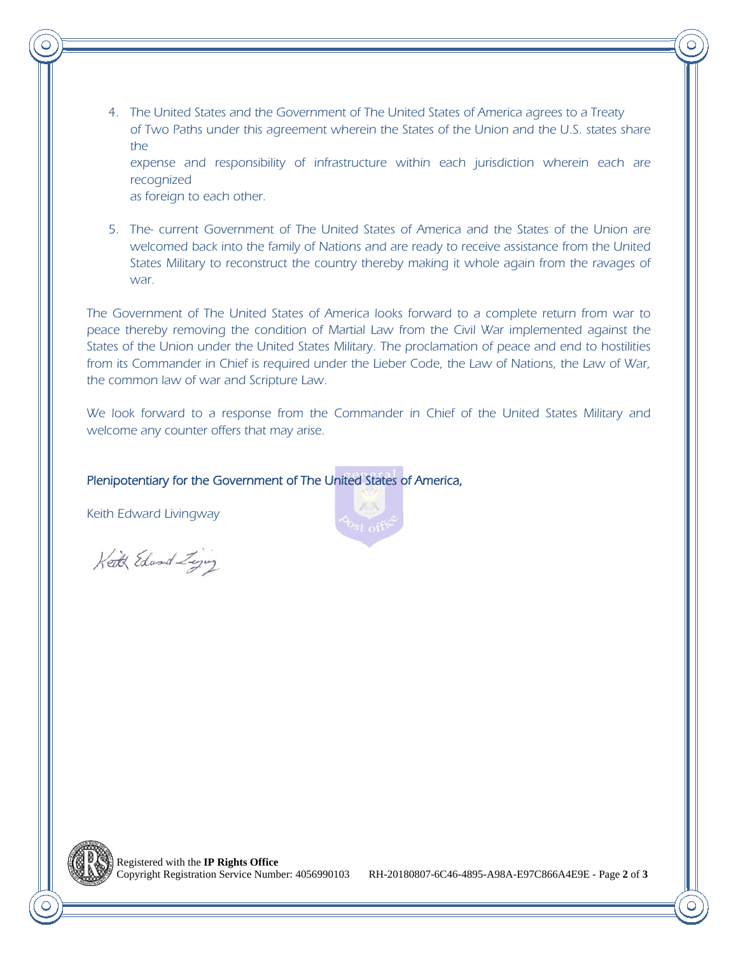4. The United States and the Government of The United States of America agrees to a Treaty of Two Paths under this agreement wherein the States of the Union and the U.S. states share the

expense and responsibility of infrastructure within each jurisdiction wherein each are recognized

as foreign to each other.

5. The- current Government of The United States of America and the States of the Union are welcomed back into the family of Nations and are ready to receive assistance from the United States Military to reconstruct the country thereby making it whole again from the ravages of war.

The Government of The United States of America looks forward to a complete return from war to peace thereby removing the condition of Martial Law from the Civil War implemented against the States of the Union under the United States Military. The proclamation of peace and end to hostilities from its Commander in Chief is required under the Lieber Code, the Law of Nations, the Law of War, the common law of war and Scripture Law.

We look forward to a response from the Commander in Chief of the United States Military and welcome any counter offers that may arise.

#### Plenipotentiary for the Government of The United States of America,

Keith Edward Livingway

Keith Edward Zing





RH-20180807-6C46-4895-A98A-E97C866A4E9E - Page 2 of 3